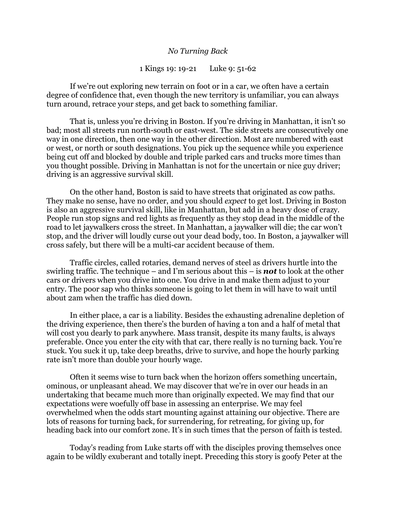## *No Turning Back*

## 1 Kings 19: 19-21 Luke 9: 51-62

If we're out exploring new terrain on foot or in a car, we often have a certain degree of confidence that, even though the new territory is unfamiliar, you can always turn around, retrace your steps, and get back to something familiar.

That is, unless you're driving in Boston. If you're driving in Manhattan, it isn't so bad; most all streets run north-south or east-west. The side streets are consecutively one way in one direction, then one way in the other direction. Most are numbered with east or west, or north or south designations. You pick up the sequence while you experience being cut off and blocked by double and triple parked cars and trucks more times than you thought possible. Driving in Manhattan is not for the uncertain or nice guy driver; driving is an aggressive survival skill.

On the other hand, Boston is said to have streets that originated as cow paths. They make no sense, have no order, and you should *expect* to get lost. Driving in Boston is also an aggressive survival skill, like in Manhattan, but add in a heavy dose of crazy. People run stop signs and red lights as frequently as they stop dead in the middle of the road to let jaywalkers cross the street. In Manhattan, a jaywalker will die; the car won't stop, and the driver will loudly curse out your dead body, too. In Boston, a jaywalker will cross safely, but there will be a multi-car accident because of them.

Traffic circles, called rotaries, demand nerves of steel as drivers hurtle into the swirling traffic. The technique – and I'm serious about this – is *not* to look at the other cars or drivers when you drive into one. You drive in and make them adjust to your entry. The poor sap who thinks someone is going to let them in will have to wait until about 2am when the traffic has died down.

In either place, a car is a liability. Besides the exhausting adrenaline depletion of the driving experience, then there's the burden of having a ton and a half of metal that will cost you dearly to park anywhere. Mass transit, despite its many faults, is always preferable. Once you enter the city with that car, there really is no turning back. You're stuck. You suck it up, take deep breaths, drive to survive, and hope the hourly parking rate isn't more than double your hourly wage.

Often it seems wise to turn back when the horizon offers something uncertain, ominous, or unpleasant ahead. We may discover that we're in over our heads in an undertaking that became much more than originally expected. We may find that our expectations were woefully off base in assessing an enterprise. We may feel overwhelmed when the odds start mounting against attaining our objective. There are lots of reasons for turning back, for surrendering, for retreating, for giving up, for heading back into our comfort zone. It's in such times that the person of faith is tested.

Today's reading from Luke starts off with the disciples proving themselves once again to be wildly exuberant and totally inept. Preceding this story is goofy Peter at the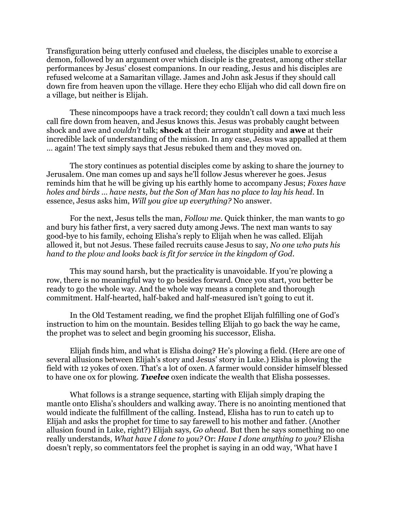Transfiguration being utterly confused and clueless, the disciples unable to exorcise a demon, followed by an argument over which disciple is the greatest, among other stellar performances by Jesus' closest companions. In our reading, Jesus and his disciples are refused welcome at a Samaritan village. James and John ask Jesus if they should call down fire from heaven upon the village. Here they echo Elijah who did call down fire on a village, but neither is Elijah.

These nincompoops have a track record; they couldn't call down a taxi much less call fire down from heaven, and Jesus knows this. Jesus was probably caught between shock and awe and *couldn't* talk; **shock** at their arrogant stupidity and **awe** at their incredible lack of understanding of the mission. In any case, Jesus was appalled at them … again! The text simply says that Jesus rebuked them and they moved on.

The story continues as potential disciples come by asking to share the journey to Jerusalem. One man comes up and says he'll follow Jesus wherever he goes. Jesus reminds him that he will be giving up his earthly home to accompany Jesus; *Foxes have holes and birds … have nests, but the Son of Man has no place to lay his head*. In essence, Jesus asks him, *Will you give up everything?* No answer.

For the next, Jesus tells the man, *Follow me.* Quick thinker, the man wants to go and bury his father first, a very sacred duty among Jews. The next man wants to say good-bye to his family, echoing Elisha's reply to Elijah when he was called. Elijah allowed it, but not Jesus. These failed recruits cause Jesus to say, *No one who puts his hand to the plow and looks back is fit for service in the kingdom of God*.

This may sound harsh, but the practicality is unavoidable. If you're plowing a row, there is no meaningful way to go besides forward. Once you start, you better be ready to go the whole way. And the whole way means a complete and thorough commitment. Half-hearted, half-baked and half-measured isn't going to cut it.

In the Old Testament reading, we find the prophet Elijah fulfilling one of God's instruction to him on the mountain. Besides telling Elijah to go back the way he came, the prophet was to select and begin grooming his successor, Elisha.

Elijah finds him, and what is Elisha doing? He's plowing a field. (Here are one of several allusions between Elijah's story and Jesus' story in Luke.) Elisha is plowing the field with 12 yokes of oxen. That's a lot of oxen. A farmer would consider himself blessed to have one ox for plowing. *Twelve* oxen indicate the wealth that Elisha possesses.

What follows is a strange sequence, starting with Elijah simply draping the mantle onto Elisha's shoulders and walking away. There is no anointing mentioned that would indicate the fulfillment of the calling. Instead, Elisha has to run to catch up to Elijah and asks the prophet for time to say farewell to his mother and father. (Another allusion found in Luke, right?) Elijah says, *Go ahead*. But then he says something no one really understands, *What have I done to you?* Or: *Have I done anything to you?* Elisha doesn't reply, so commentators feel the prophet is saying in an odd way, 'What have I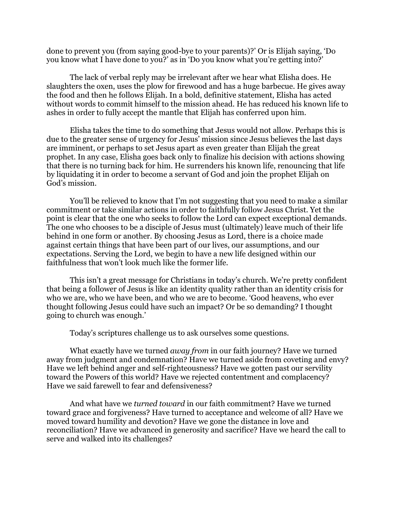done to prevent you (from saying good-bye to your parents)?' Or is Elijah saying, 'Do you know what I have done to you?' as in 'Do you know what you're getting into?'

The lack of verbal reply may be irrelevant after we hear what Elisha does. He slaughters the oxen, uses the plow for firewood and has a huge barbecue. He gives away the food and then he follows Elijah. In a bold, definitive statement, Elisha has acted without words to commit himself to the mission ahead. He has reduced his known life to ashes in order to fully accept the mantle that Elijah has conferred upon him.

Elisha takes the time to do something that Jesus would not allow. Perhaps this is due to the greater sense of urgency for Jesus' mission since Jesus believes the last days are imminent, or perhaps to set Jesus apart as even greater than Elijah the great prophet. In any case, Elisha goes back only to finalize his decision with actions showing that there is no turning back for him. He surrenders his known life, renouncing that life by liquidating it in order to become a servant of God and join the prophet Elijah on God's mission.

You'll be relieved to know that I'm not suggesting that you need to make a similar commitment or take similar actions in order to faithfully follow Jesus Christ. Yet the point is clear that the one who seeks to follow the Lord can expect exceptional demands. The one who chooses to be a disciple of Jesus must (ultimately) leave much of their life behind in one form or another. By choosing Jesus as Lord, there is a choice made against certain things that have been part of our lives, our assumptions, and our expectations. Serving the Lord, we begin to have a new life designed within our faithfulness that won't look much like the former life.

This isn't a great message for Christians in today's church. We're pretty confident that being a follower of Jesus is like an identity quality rather than an identity crisis for who we are, who we have been, and who we are to become. 'Good heavens, who ever thought following Jesus could have such an impact? Or be so demanding? I thought going to church was enough.'

Today's scriptures challenge us to ask ourselves some questions.

What exactly have we turned *away from* in our faith journey? Have we turned away from judgment and condemnation? Have we turned aside from coveting and envy? Have we left behind anger and self-righteousness? Have we gotten past our servility toward the Powers of this world? Have we rejected contentment and complacency? Have we said farewell to fear and defensiveness?

And what have we *turned toward* in our faith commitment? Have we turned toward grace and forgiveness? Have turned to acceptance and welcome of all? Have we moved toward humility and devotion? Have we gone the distance in love and reconciliation? Have we advanced in generosity and sacrifice? Have we heard the call to serve and walked into its challenges?